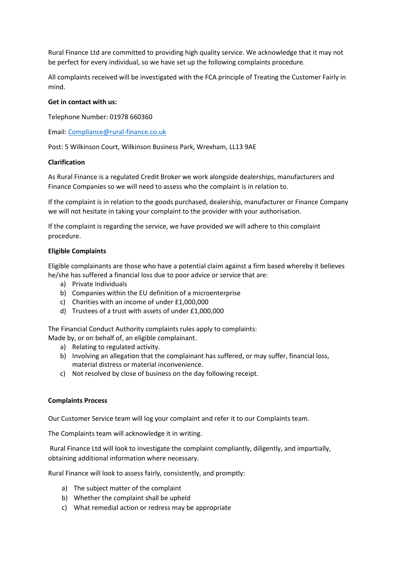Rural Finance Ltd are committed to providing high quality service. We acknowledge that it may not be perfect for every individual, so we have set up the following complaints procedure.

All complaints received will be investigated with the FCA principle of Treating the Customer Fairly in mind.

## **Get in contact with us:**

Telephone Number: 01978 660360

Email: [Compliance@rural-finance.co.uk](mailto:Compliance@rural-finance.co.uk)

Post: 5 Wilkinson Court, Wilkinson Business Park, Wrexham, LL13 9AE

### **Clarification**

As Rural Finance is a regulated Credit Broker we work alongside dealerships, manufacturers and Finance Companies so we will need to assess who the complaint is in relation to.

If the complaint is in relation to the goods purchased, dealership, manufacturer or Finance Company we will not hesitate in taking your complaint to the provider with your authorisation.

If the complaint is regarding the service, we have provided we will adhere to this complaint procedure.

## **Eligible Complaints**

Eligible complainants are those who have a potential claim against a firm based whereby it believes he/she has suffered a financial loss due to poor advice or service that are:

- a) Private Individuals
- b) Companies within the EU definition of a microenterprise
- c) Charities with an income of under £1,000,000
- d) Trustees of a trust with assets of under £1,000,000

The Financial Conduct Authority complaints rules apply to complaints:

- Made by, or on behalf of, an eligible complainant.
	- a) Relating to regulated activity.
	- b) Involving an allegation that the complainant has suffered, or may suffer, financial loss, material distress or material inconvenience.
	- c) Not resolved by close of business on the day following receipt.

#### **Complaints Process**

Our Customer Service team will log your complaint and refer it to our Complaints team.

The Complaints team will acknowledge it in writing.

Rural Finance Ltd will look to investigate the complaint compliantly, diligently, and impartially, obtaining additional information where necessary.

Rural Finance will look to assess fairly, consistently, and promptly:

- a) The subject matter of the complaint
- b) Whether the complaint shall be upheld
- c) What remedial action or redress may be appropriate